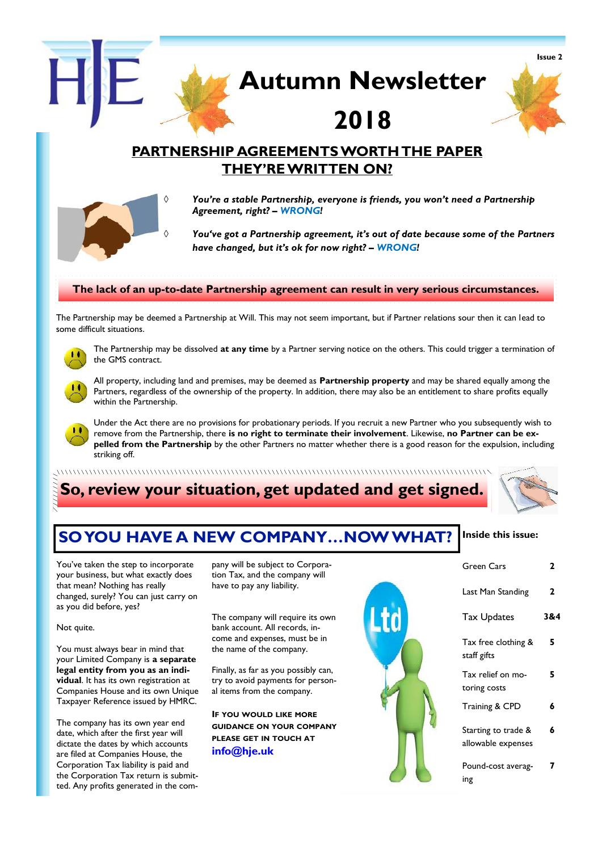

All property, including land and premises, may be deemed as **Partnership property** and may be shared equally among the Partners, regardless of the ownership of the property. In addition, there may also be an entitlement to share profits equally within the Partnership.

Under the Act there are no provisions for probationary periods. If you recruit a new Partner who you subsequently wish to remove from the Partnership, there **is no right to terminate their involvement**. Likewise, **no Partner can be expelled from the Partnership** by the other Partners no matter whether there is a good reason for the expulsion, including striking off.

## **So, review your situation, get updated and get signed.**



#### **Inside this issue: SO YOU HAVE A NEW COMPANY…NOW WHAT?**

You've taken the step to incorporate your business, but what exactly does that mean? Nothing has really changed, surely? You can just carry on as you did before, yes?

Not quite.

You must always bear in mind that your Limited Company is **a separate legal entity from you as an individual**. It has its own registration at Companies House and its own Unique Taxpayer Reference issued by HMRC.

The company has its own year end date, which after the first year will dictate the dates by which accounts are filed at Companies House, the Corporation Tax liability is paid and the Corporation Tax return is submitted. Any profits generated in the company will be subject to Corporation Tax, and the company will have to pay any liability.

The company will require its own bank account. All records, income and expenses, must be in the name of the company.

Finally, as far as you possibly can, try to avoid payments for personal items from the company.

**IF YOU WOULD LIKE MORE GUIDANCE ON YOUR COMPANY PLEASE GET IN TOUCH AT info@hje.uk**



| Green Cars                                | 2   |
|-------------------------------------------|-----|
| Last Man Standing                         | 2   |
| <b>Tax Updates</b>                        | 3&4 |
| Tax free clothing &<br>staff gifts        | 5   |
| Tax relief on mo-<br>toring costs         | 5   |
| Training & CPD                            | 6   |
| Starting to trade &<br>allowable expenses | 6   |
| Pound-cost averag-<br>ing                 |     |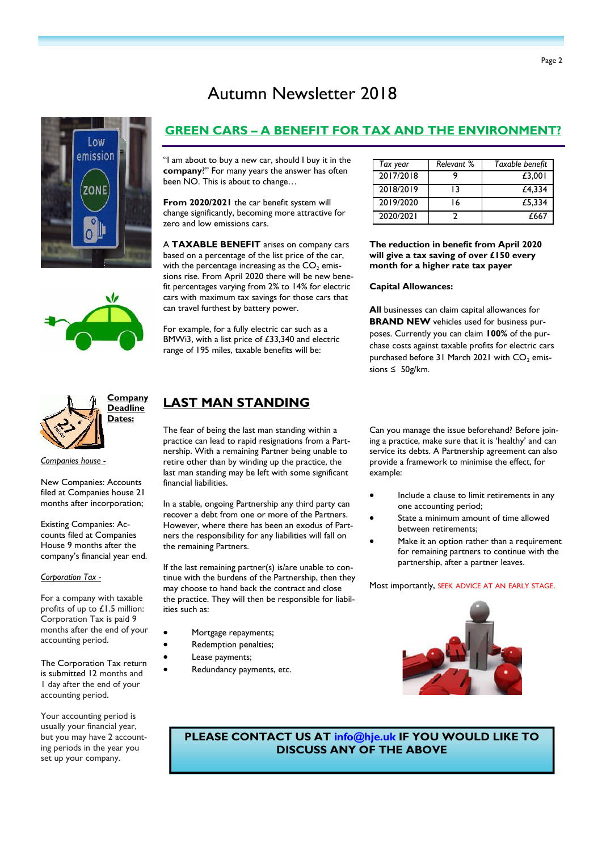# Autumn Newsletter 2018







*Companies house -*

New Companies: Accounts filed at Companies house 21 months after incorporation;

Existing Companies: Accounts filed at Companies House 9 months after the company's financial year end.

#### *Corporation Tax -*

For a company with taxable profits of up to £1.5 million: Corporation Tax is paid 9 months after the end of your accounting period.

The Corporation Tax return is submitted 12 months and 1 day after the end of your accounting period.

Your accounting period is usually your financial year, but you may have 2 accounting periods in the year you set up your company.

### **GREEN CARS – A BENEFIT FOR TAX AND THE ENVIRONMENT?**

"I am about to buy a new car, should I buy it in the **company**?" For many years the answer has often been NO. This is about to change…

**From 2020/2021** the car benefit system will change significantly, becoming more attractive for zero and low emissions cars.

A **TAXABLE BENEFIT** arises on company cars based on a percentage of the list price of the car, with the percentage increasing as the  $CO<sub>2</sub>$  emissions rise. From April 2020 there will be new benefit percentages varying from 2% to 14% for electric cars with maximum tax savings for those cars that can travel furthest by battery power.

For example, for a fully electric car such as a BMWi3, with a list price of £33,340 and electric range of 195 miles, taxable benefits will be:

| Tax year  | Relevant % | Taxable benefit |  |
|-----------|------------|-----------------|--|
| 2017/2018 |            | £3.001          |  |
| 2018/2019 | ا ?        | £4.334          |  |
| 2019/2020 | ۱6         | £5.334          |  |
| 2020/2021 |            | £667            |  |

**The reduction in benefit from April 2020 will give a tax saving of over £150 every month for a higher rate tax payer**

#### **Capital Allowances:**

**All** businesses can claim capital allowances for **BRAND NEW** vehicles used for business purposes. Currently you can claim **100%** of the purchase costs against taxable profits for electric cars purchased before 31 March 2021 with CO<sub>2</sub> emissions ≤ 50g/km.

## **LAST MAN STANDING**

The fear of being the last man standing within a practice can lead to rapid resignations from a Partnership. With a remaining Partner being unable to retire other than by winding up the practice, the last man standing may be left with some significant financial liabilities.

In a stable, ongoing Partnership any third party can recover a debt from one or more of the Partners. However, where there has been an exodus of Partners the responsibility for any liabilities will fall on the remaining Partners.

If the last remaining partner(s) is/are unable to continue with the burdens of the Partnership, then they may choose to hand back the contract and close the practice. They will then be responsible for liabilities such as:

- Mortgage repayments;
- Redemption penalties;
- Lease payments;
- Redundancy payments, etc.

Can you manage the issue beforehand? Before joining a practice, make sure that it is 'healthy' and can service its debts. A Partnership agreement can also provide a framework to minimise the effect, for example:

- Include a clause to limit retirements in any one accounting period;
- State a minimum amount of time allowed between retirements;
- Make it an option rather than a requirement for remaining partners to continue with the partnership, after a partner leaves.

Most importantly, SEEK ADVICE AT AN EARLY STAGE.



**PLEASE CONTACT US AT info@hje.uk IF YOU WOULD LIKE TO DISCUSS ANY OF THE ABOVE**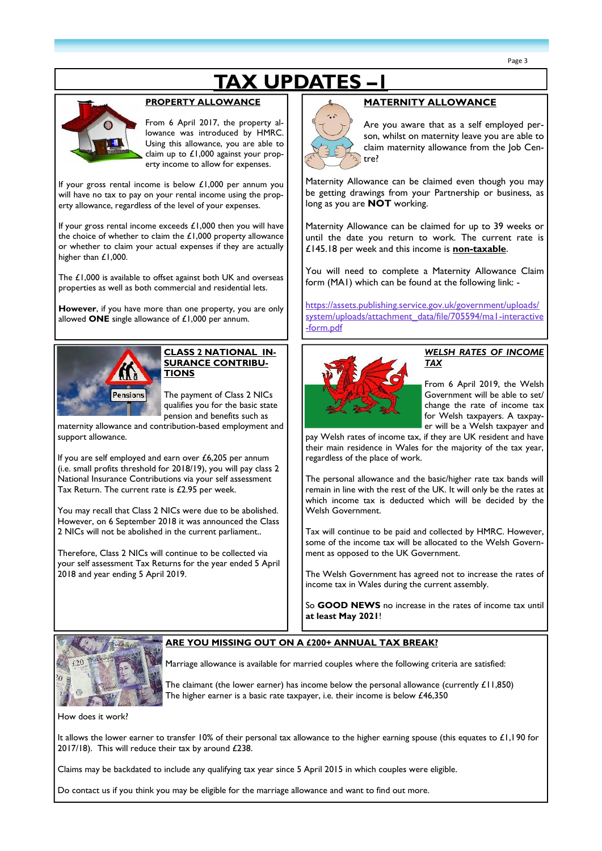# **TAX UPDATES –1**



#### **PROPERTY ALLOWANCE**

From 6 April 2017, the property allowance was introduced by HMRC. Using this allowance, you are able to claim up to £1,000 against your property income to allow for expenses.

If your gross rental income is below £1,000 per annum you will have no tax to pay on your rental income using the property allowance, regardless of the level of your expenses.

If your gross rental income exceeds £1,000 then you will have the choice of whether to claim the  $£1,000$  property allowance or whether to claim your actual expenses if they are actually higher than £1,000.

The £1,000 is available to offset against both UK and overseas properties as well as both commercial and residential lets.

**However**, if you have more than one property, you are only allowed **ONE** single allowance of £1,000 per annum.



#### **CLASS 2 NATIONAL IN-SURANCE CONTRIBU-TIONS**

The payment of Class 2 NICs qualifies you for the basic state pension and benefits such as

maternity allowance and contribution-based employment and support allowance.

If you are self employed and earn over £6,205 per annum (i.e. small profits threshold for 2018/19), you will pay class 2 National Insurance Contributions via your self assessment Tax Return. The current rate is £2.95 per week.

You may recall that Class 2 NICs were due to be abolished. However, on 6 September 2018 it was announced the Class 2 NICs will not be abolished in the current parliament..

Therefore, Class 2 NICs will continue to be collected via your self assessment Tax Returns for the year ended 5 April 2018 and year ending 5 April 2019.



#### **MATERNITY ALLOWANCE**

Are you aware that as a self employed person, whilst on maternity leave you are able to claim maternity allowance from the Job Centre?

Maternity Allowance can be claimed even though you may be getting drawings from your Partnership or business, as long as you are **NOT** working.

Maternity Allowance can be claimed for up to 39 weeks or until the date you return to work. The current rate is £145.18 per week and this income is **non-taxable**.

You will need to complete a Maternity Allowance Claim form (MA1) which can be found at the following link: -

https://assets.publishing.service.gov.uk/government/uploads/ system/uploads/attachment\_data/file/705594/ma1-interactive -form.pdf



#### *WELSH RATES OF INCOME TAX*

From 6 April 2019, the Welsh Government will be able to set/ change the rate of income tax for Welsh taxpayers. A taxpayer will be a Welsh taxpayer and

pay Welsh rates of income tax, if they are UK resident and have their main residence in Wales for the majority of the tax year, regardless of the place of work.

The personal allowance and the basic/higher rate tax bands will remain in line with the rest of the UK. It will only be the rates at which income tax is deducted which will be decided by the Welsh Government.

Tax will continue to be paid and collected by HMRC. However, some of the income tax will be allocated to the Welsh Government as opposed to the UK Government.

The Welsh Government has agreed not to increase the rates of income tax in Wales during the current assembly.

So **GOOD NEWS** no increase in the rates of income tax until **at least May 2021**!



#### **ARE YOU MISSING OUT ON A £200+ ANNUAL TAX BREAK?**

Marriage allowance is available for married couples where the following criteria are satisfied:

The claimant (the lower earner) has income below the personal allowance (currently  $£11,850)$ The higher earner is a basic rate taxpayer, i.e. their income is below £46,350

How does it work?

It allows the lower earner to transfer 10% of their personal tax allowance to the higher earning spouse (this equates to £1,190 for 2017/18). This will reduce their tax by around £238.

Claims may be backdated to include any qualifying tax year since 5 April 2015 in which couples were eligible.

Do contact us if you think you may be eligible for the marriage allowance and want to find out more.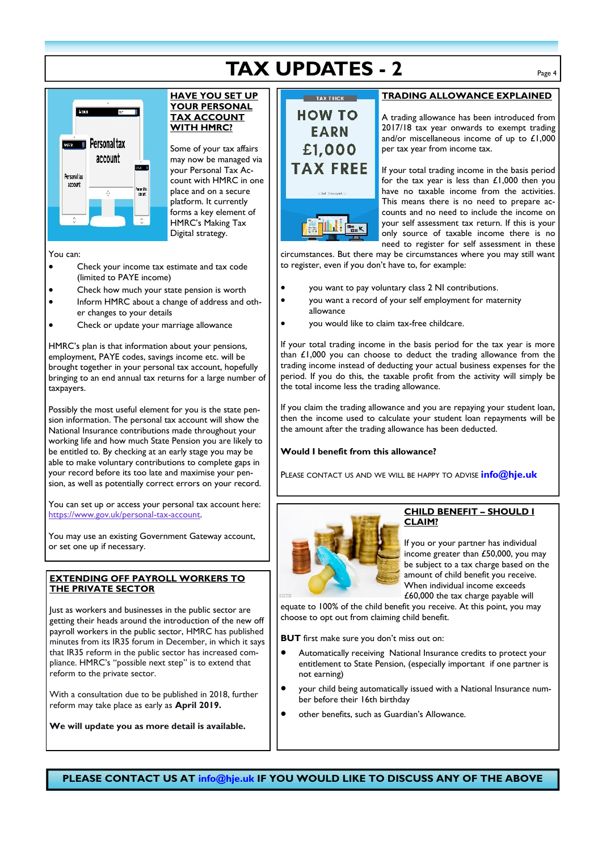# **TAX UPDATES - 2** Page 4



#### **HAVE YOU SET UP YOUR PERSONAL TAX ACCOUNT WITH HMRC?**

Some of your tax affairs may now be managed via your Personal Tax Account with HMRC in one place and on a secure platform. It currently forms a key element of HMRC's Making Tax Digital strategy.

You can:

- Check your income tax estimate and tax code (limited to PAYE income)
- Check how much your state pension is worth
- Inform HMRC about a change of address and other changes to your details
- Check or update your marriage allowance

HMRC's plan is that information about your pensions, employment, PAYE codes, savings income etc. will be brought together in your personal tax account, hopefully bringing to an end annual tax returns for a large number of taxpayers.

Possibly the most useful element for you is the state pension information. The personal tax account will show the National Insurance contributions made throughout your working life and how much State Pension you are likely to be entitled to. By checking at an early stage you may be able to make voluntary contributions to complete gaps in your record before its too late and maximise your pension, as well as potentially correct errors on your record.

You can set up or access your personal tax account here: https://www.gov.uk/personal-tax-account.

You may use an existing Government Gateway account, or set one up if necessary.

#### **EXTENDING OFF PAYROLL WORKERS TO THE PRIVATE SECTOR**

lust as workers and businesses in the public sector are getting their heads around the introduction of the new off payroll workers in the public sector, HMRC has published minutes from its IR35 forum in December, in which it says that IR35 reform in the public sector has increased compliance. HMRC's "possible next step" is to extend that reform to the private sector.

With a consultation due to be published in 2018, further reform may take place as early as **April 2019.**

**We will update you as more detail is available.**

# **HOW TO EARN** £1.000

TIM Fax

#### **TRADING ALLOWANCE EXPLAINED**

A trading allowance has been introduced from 2017/18 tax year onwards to exempt trading and/or miscellaneous income of up to £1,000 per tax year from income tax.

If your total trading income in the basis period for the tax year is less than £1,000 then you have no taxable income from the activities. This means there is no need to prepare accounts and no need to include the income on your self assessment tax return. If this is your only source of taxable income there is no need to register for self assessment in these

circumstances. But there may be circumstances where you may still want to register, even if you don't have to, for example:

- you want to pay voluntary class 2 NI contributions.
- you want a record of your self employment for maternity allowance
	- you would like to claim tax-free childcare.

If your total trading income in the basis period for the tax year is more than £1,000 you can choose to deduct the trading allowance from the trading income instead of deducting your actual business expenses for the period. If you do this, the taxable profit from the activity will simply be the total income less the trading allowance.

If you claim the trading allowance and you are repaying your student loan, then the income used to calculate your student loan repayments will be the amount after the trading allowance has been deducted.

#### **Would I benefit from this allowance?**

PLEASE CONTACT US AND WEWILL BE HAPPY TO ADVISE **info@hje.uk**



#### **CHILD BENEFIT – SHOULD I CLAIM?**

If you or your partner has individual income greater than £50,000, you may be subject to a tax charge based on the amount of child benefit you receive. When individual income exceeds £60,000 the tax charge payable will

equate to 100% of the child benefit you receive. At this point, you may choose to opt out from claiming child benefit.

**BUT** first make sure you don't miss out on:

- Automatically receiving National Insurance credits to protect your entitlement to State Pension, (especially important if one partner is not earning)
- your child being automatically issued with a National Insurance number before their 16th birthday
- other benefits, such as Guardian's Allowance.

**PLEASE CONTACT US AT info@hje.uk IF YOU WOULD LIKE TO DISCUSS ANY OF THE ABOVE**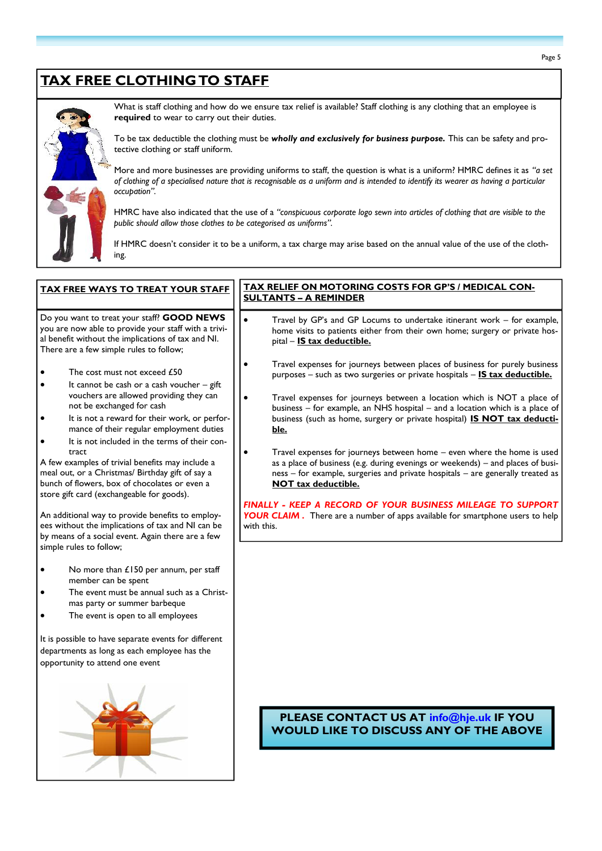# **TAX FREE CLOTHING TO STAFF**



What is staff clothing and how do we ensure tax relief is available? Staff clothing is any clothing that an employee is **required** to wear to carry out their duties.

To be tax deductible the clothing must be *wholly and exclusively for business purpose.* This can be safety and protective clothing or staff uniform.

More and more businesses are providing uniforms to staff, the question is what is a uniform? HMRC defines it as *"a set of clothing of a specialised nature that is recognisable as a uniform and is intended to identify its wearer as having a particular occupation".*

HMRC have also indicated that the use of a *"conspicuous corporate logo sewn into articles of clothing that are visible to the public should allow those clothes to be categorised as uniforms".*

If HMRC doesn't consider it to be a uniform, a tax charge may arise based on the annual value of the use of the clothing.

## **TAX FREE WAYS TO TREAT YOUR STAFF** Do you want to treat your staff? **GOOD NEWS** you are now able to provide your staff with a trivial benefit without the implications of tax and NI. There are a few simple rules to follow; The cost must not exceed £50 It cannot be cash or a cash voucher – gift

- vouchers are allowed providing they can not be exchanged for cash
- It is not a reward for their work, or performance of their regular employment duties
- It is not included in the terms of their contract

A few examples of trivial benefits may include a meal out, or a Christmas/ Birthday gift of say a bunch of flowers, box of chocolates or even a store gift card (exchangeable for goods).

An additional way to provide benefits to employees without the implications of tax and NI can be by means of a social event. Again there are a few simple rules to follow;

- No more than £150 per annum, per staff member can be spent
- The event must be annual such as a Christmas party or summer barbeque
- The event is open to all employees

It is possible to have separate events for different departments as long as each employee has the opportunity to attend one event



#### **TAX RELIEF ON MOTORING COSTS FOR GP'S / MEDICAL CON-SULTANTS –A REMINDER**

- Travel by GP's and GP Locums to undertake itinerant work for example, home visits to patients either from their own home; surgery or private hospital – **IS tax deductible.**
- Travel expenses for journeys between places of business for purely business purposes – such as two surgeries or private hospitals – **IS tax deductible.**
- Travel expenses for journeys between a location which is NOT a place of business – for example, an NHS hospital – and a location which is a place of business (such as home, surgery or private hospital) **IS NOT tax deductible.**
- Travel expenses for journeys between home even where the home is used as a place of business (e.g. during evenings or weekends) – and places of busi ness – for example, surgeries and private hospitals – are generally treated as **NOT tax deductible.**

*FINALLY - KEEP A RECORD OF YOUR BUSINESS MILEAGE TO SUPPORT YOUR CLAIM* . There are a number of apps available for smartphone users to help with this.

#### **PLEASE CONTACT US AT info@hje.uk IF YOU WOULD LIKE TO DISCUSS ANY OF THE ABOVE**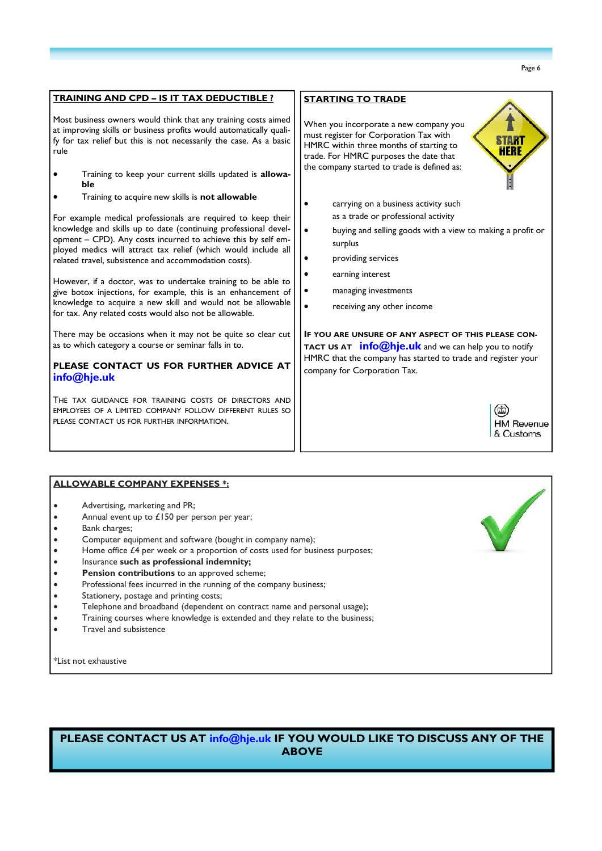| <b>TRAINING AND CPD - IS IT TAX DEDUCTIBLE ?</b>                                                                                                                                                                                                                   | <b>STARTING TO TRADE</b>                                                                                                                                                                                                     |  |
|--------------------------------------------------------------------------------------------------------------------------------------------------------------------------------------------------------------------------------------------------------------------|------------------------------------------------------------------------------------------------------------------------------------------------------------------------------------------------------------------------------|--|
| Most business owners would think that any training costs aimed<br>at improving skills or business profits would automatically quali-<br>fy for tax relief but this is not necessarily the case. As a basic<br>rule                                                 | When you incorporate a new company you<br>must register for Corporation Tax with<br>HMRC within three months of starting to<br>HERE<br>trade. For HMRC purposes the date that<br>the company started to trade is defined as: |  |
| Training to keep your current skills updated is allowa-<br>ble                                                                                                                                                                                                     |                                                                                                                                                                                                                              |  |
| Training to acquire new skills is not allowable                                                                                                                                                                                                                    | carrying on a business activity such                                                                                                                                                                                         |  |
| For example medical professionals are required to keep their<br>knowledge and skills up to date (continuing professional devel-<br>opment - CPD). Any costs incurred to achieve this by self em-<br>ployed medics will attract tax relief (which would include all | as a trade or professional activity<br>buying and selling goods with a view to making a profit or<br>$\bullet$<br>surplus                                                                                                    |  |
| related travel, subsistence and accommodation costs).                                                                                                                                                                                                              | providing services                                                                                                                                                                                                           |  |
| However, if a doctor, was to undertake training to be able to<br>give botox injections, for example, this is an enhancement of<br>knowledge to acquire a new skill and would not be allowable<br>for tax. Any related costs would also not be allowable.           | earning interest<br>managing investments                                                                                                                                                                                     |  |
|                                                                                                                                                                                                                                                                    | receiving any other income                                                                                                                                                                                                   |  |
| There may be occasions when it may not be quite so clear cut<br>as to which category a course or seminar falls in to.                                                                                                                                              | IF YOU ARE UNSURE OF ANY ASPECT OF THIS PLEASE CON-<br>TACT US AT <b>info@hje.uk</b> and we can help you to notify<br>HMRC that the company has started to trade and register your<br>company for Corporation Tax.           |  |
| PLEASE CONTACT US FOR FURTHER ADVICE AT<br>info@hje.uk                                                                                                                                                                                                             |                                                                                                                                                                                                                              |  |
| THE TAX GUIDANCE FOR TRAINING COSTS OF DIRECTORS AND<br>EMPLOYEES OF A LIMITED COMPANY FOLLOW DIFFERENT RULES SO<br>PLEASE CONTACT US FOR FURTHER INFORMATION.                                                                                                     | <b>HM Revenue</b><br>& Customs                                                                                                                                                                                               |  |
|                                                                                                                                                                                                                                                                    |                                                                                                                                                                                                                              |  |

#### **ALLOWABLE COMPANY EXPENSES \*:**

- Advertising, marketing and PR;
- Annual event up to £150 per person per year;
- Bank charges;
- Computer equipment and software (bought in company name);
- Home office  $£4$  per week or a proportion of costs used for business purposes;
- Insurance **such as professional indemnity;**
- **Pension contributions** to an approved scheme;
- Professional fees incurred in the running of the company business;
- Stationery, postage and printing costs;
- Telephone and broadband (dependent on contract name and personal usage);
- Training courses where knowledge is extended and they relate to the business;
- Travel and subsistence

\*List not exhaustive

**PLEASE CONTACT US AT info@hje.uk IF YOU WOULD LIKE TO DISCUSS ANY OF THE ABOVE**